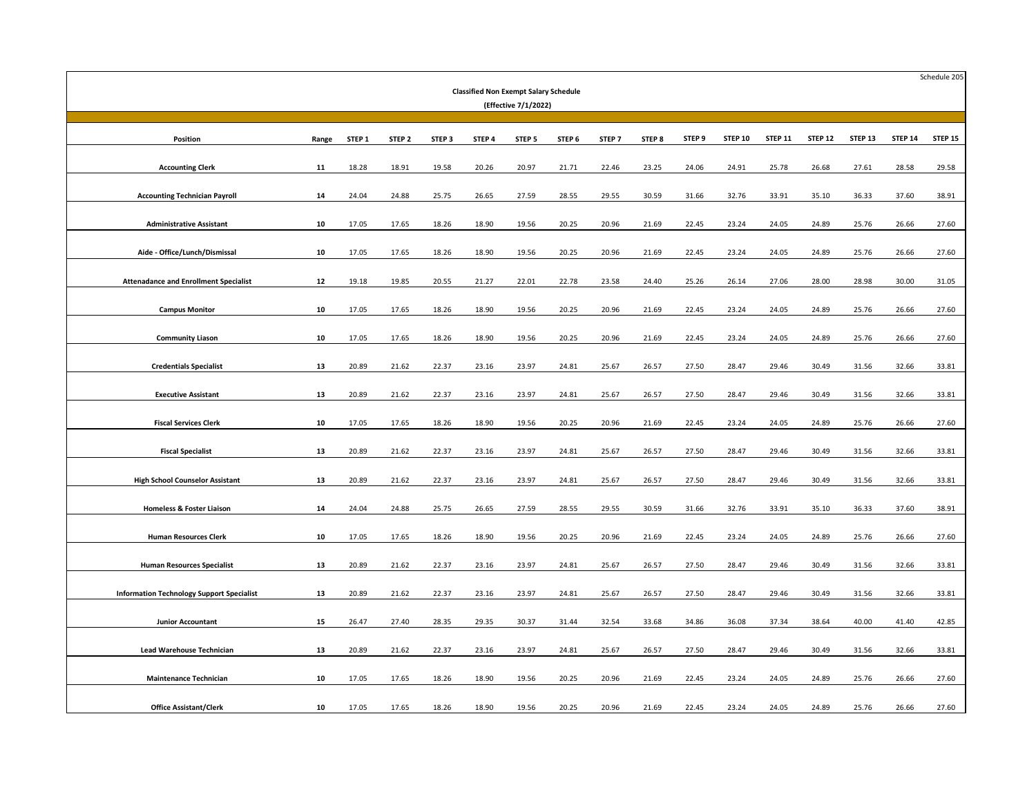| <b>Classified Non Exempt Salary Schedule</b><br>(Effective 7/1/2022) |       |        |                   |        |        |        |        |                   |        |        |                |                |                |                    | Schedule 205   |         |
|----------------------------------------------------------------------|-------|--------|-------------------|--------|--------|--------|--------|-------------------|--------|--------|----------------|----------------|----------------|--------------------|----------------|---------|
|                                                                      |       |        |                   |        |        |        |        |                   |        |        |                |                |                |                    |                |         |
| Position                                                             | Range | STEP 1 | STEP <sub>2</sub> | STEP 3 | STEP 4 | STEP 5 | STEP 6 | STEP <sub>7</sub> | STEP 8 | STEP 9 | <b>STEP 10</b> | <b>STEP 11</b> | <b>STEP 12</b> | STEP <sub>13</sub> | <b>STEP 14</b> | STEP 15 |
| <b>Accounting Clerk</b>                                              | 11    | 18.28  | 18.91             | 19.58  | 20.26  | 20.97  | 21.71  | 22.46             | 23.25  | 24.06  | 24.91          | 25.78          | 26.68          | 27.61              | 28.58          | 29.58   |
|                                                                      |       |        |                   |        |        |        |        |                   |        |        |                |                |                |                    |                |         |
| <b>Accounting Technician Payroll</b>                                 | 14    | 24.04  | 24.88             | 25.75  | 26.65  | 27.59  | 28.55  | 29.55             | 30.59  | 31.66  | 32.76          | 33.91          | 35.10          | 36.33              | 37.60          | 38.91   |
| <b>Administrative Assistant</b>                                      | 10    | 17.05  | 17.65             | 18.26  | 18.90  | 19.56  | 20.25  | 20.96             | 21.69  | 22.45  | 23.24          | 24.05          | 24.89          | 25.76              | 26.66          | 27.60   |
| Aide - Office/Lunch/Dismissal                                        | 10    | 17.05  | 17.65             | 18.26  | 18.90  | 19.56  | 20.25  | 20.96             | 21.69  | 22.45  | 23.24          | 24.05          | 24.89          | 25.76              | 26.66          | 27.60   |
|                                                                      |       |        |                   |        |        |        |        |                   |        |        |                |                |                |                    |                |         |
| <b>Attenadance and Enrollment Specialist</b>                         | 12    | 19.18  | 19.85             | 20.55  | 21.27  | 22.01  | 22.78  | 23.58             | 24.40  | 25.26  | 26.14          | 27.06          | 28.00          | 28.98              | 30.00          | 31.05   |
| <b>Campus Monitor</b>                                                | 10    | 17.05  | 17.65             | 18.26  | 18.90  | 19.56  | 20.25  | 20.96             | 21.69  | 22.45  | 23.24          | 24.05          | 24.89          | 25.76              | 26.66          | 27.60   |
|                                                                      |       |        |                   |        |        |        |        |                   |        |        |                |                |                |                    |                |         |
| <b>Community Liason</b>                                              | 10    | 17.05  | 17.65             | 18.26  | 18.90  | 19.56  | 20.25  | 20.96             | 21.69  | 22.45  | 23.24          | 24.05          | 24.89          | 25.76              | 26.66          | 27.60   |
| <b>Credentials Specialist</b>                                        | 13    | 20.89  | 21.62             | 22.37  | 23.16  | 23.97  | 24.81  | 25.67             | 26.57  | 27.50  | 28.47          | 29.46          | 30.49          | 31.56              | 32.66          | 33.81   |
| <b>Executive Assistant</b>                                           | 13    | 20.89  | 21.62             | 22.37  | 23.16  | 23.97  | 24.81  | 25.67             | 26.57  | 27.50  | 28.47          | 29.46          | 30.49          | 31.56              | 32.66          | 33.81   |
|                                                                      |       |        |                   |        |        |        |        |                   |        |        |                |                |                |                    |                |         |
| <b>Fiscal Services Clerk</b>                                         | 10    | 17.05  | 17.65             | 18.26  | 18.90  | 19.56  | 20.25  | 20.96             | 21.69  | 22.45  | 23.24          | 24.05          | 24.89          | 25.76              | 26.66          | 27.60   |
| <b>Fiscal Specialist</b>                                             | 13    | 20.89  | 21.62             | 22.37  | 23.16  | 23.97  | 24.81  | 25.67             | 26.57  | 27.50  | 28.47          | 29.46          | 30.49          | 31.56              | 32.66          | 33.81   |
|                                                                      |       |        |                   |        |        |        |        |                   |        |        |                |                |                |                    |                |         |
| <b>High School Counselor Assistant</b>                               | 13    | 20.89  | 21.62             | 22.37  | 23.16  | 23.97  | 24.81  | 25.67             | 26.57  | 27.50  | 28.47          | 29.46          | 30.49          | 31.56              | 32.66          | 33.81   |
| <b>Homeless &amp; Foster Liaison</b>                                 | 14    | 24.04  | 24.88             | 25.75  | 26.65  | 27.59  | 28.55  | 29.55             | 30.59  | 31.66  | 32.76          | 33.91          | 35.10          | 36.33              | 37.60          | 38.91   |
| <b>Human Resources Clerk</b>                                         | 10    | 17.05  | 17.65             | 18.26  | 18.90  | 19.56  | 20.25  | 20.96             | 21.69  | 22.45  | 23.24          | 24.05          | 24.89          | 25.76              | 26.66          | 27.60   |
|                                                                      |       |        |                   |        |        |        |        |                   |        |        |                |                |                |                    |                |         |
| <b>Human Resources Specialist</b>                                    | 13    | 20.89  | 21.62             | 22.37  | 23.16  | 23.97  | 24.81  | 25.67             | 26.57  | 27.50  | 28.47          | 29.46          | 30.49          | 31.56              | 32.66          | 33.81   |
| <b>Information Technology Support Specialist</b>                     | 13    | 20.89  | 21.62             | 22.37  | 23.16  | 23.97  | 24.81  | 25.67             | 26.57  | 27.50  | 28.47          | 29.46          | 30.49          | 31.56              | 32.66          | 33.81   |
|                                                                      |       |        |                   |        |        |        |        |                   |        |        |                |                |                |                    |                |         |
| <b>Junior Accountant</b>                                             | 15    | 26.47  | 27.40             | 28.35  | 29.35  | 30.37  | 31.44  | 32.54             | 33.68  | 34.86  | 36.08          | 37.34          | 38.64          | 40.00              | 41.40          | 42.85   |
| <b>Lead Warehouse Technician</b>                                     | 13    | 20.89  | 21.62             | 22.37  | 23.16  | 23.97  | 24.81  | 25.67             | 26.57  | 27.50  | 28.47          | 29.46          | 30.49          | 31.56              | 32.66          | 33.81   |
|                                                                      |       |        |                   |        |        |        |        |                   |        |        |                |                |                |                    |                |         |
| <b>Maintenance Technician</b>                                        | 10    | 17.05  | 17.65             | 18.26  | 18.90  | 19.56  | 20.25  | 20.96             | 21.69  | 22.45  | 23.24          | 24.05          | 24.89          | 25.76              | 26.66          | 27.60   |
| <b>Office Assistant/Clerk</b>                                        | 10    | 17.05  | 17.65             | 18.26  | 18.90  | 19.56  | 20.25  | 20.96             | 21.69  | 22.45  | 23.24          | 24.05          | 24.89          | 25.76              | 26.66          | 27.60   |